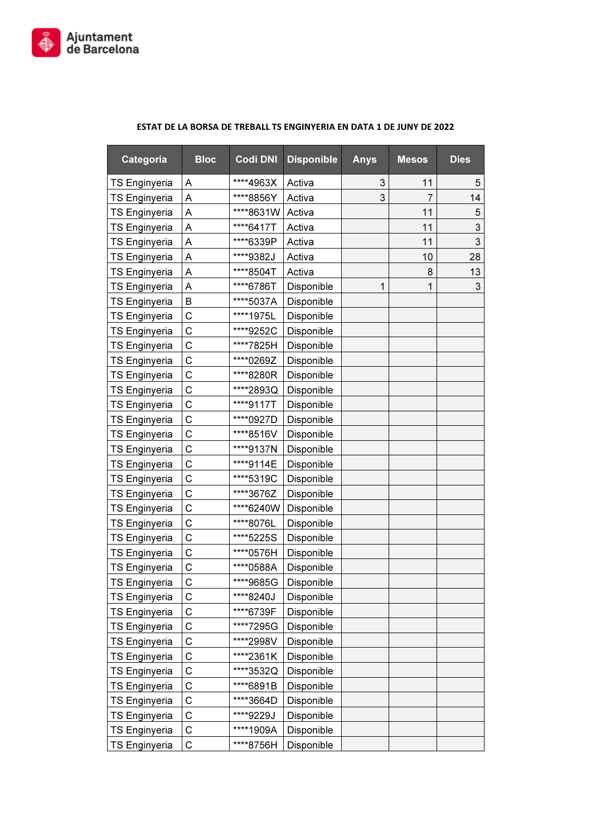

| Categoria            | <b>Bloc</b> | <b>Codi DNI</b> | <b>Disponible</b> | <b>Anys</b> | <b>Mesos</b> | <b>Dies</b> |
|----------------------|-------------|-----------------|-------------------|-------------|--------------|-------------|
| <b>TS Enginyeria</b> | Α           | ****4963X       | Activa            | 3           | 11           | 5           |
| <b>TS Enginyeria</b> | A           | ****8856Y       | Activa            | 3           | 7            | 14          |
| <b>TS Enginyeria</b> | A           | ****8631W       | Activa            |             | 11           | 5           |
| <b>TS Enginyeria</b> | Α           | ****6417T       | Activa            |             | 11           | 3           |
| <b>TS Enginyeria</b> | A           | ****6339P       | Activa            |             | 11           | 3           |
| <b>TS Enginyeria</b> | Α           | ****9382J       | Activa            |             | 10           | 28          |
| <b>TS Enginyeria</b> | Α           | ****8504T       | Activa            |             | 8            | 13          |
| <b>TS Enginyeria</b> | Α           | ****6786T       | Disponible        | 1           | 1            | 3           |
| <b>TS Enginyeria</b> | B           | ****5037A       | Disponible        |             |              |             |
| <b>TS Enginyeria</b> | C           | ****1975L       | Disponible        |             |              |             |
| <b>TS Enginyeria</b> | C           | ****9252C       | Disponible        |             |              |             |
| <b>TS Enginyeria</b> | C           | ****7825H       | Disponible        |             |              |             |
| <b>TS Enginyeria</b> | C           | ****0269Z       | Disponible        |             |              |             |
| <b>TS Enginyeria</b> | C           | ****8280R       | Disponible        |             |              |             |
| <b>TS Enginyeria</b> | C           | ****2893Q       | Disponible        |             |              |             |
| <b>TS Enginyeria</b> | С           | ****9117T       | Disponible        |             |              |             |
| <b>TS Enginyeria</b> | C           | ****0927D       | Disponible        |             |              |             |
| <b>TS Enginyeria</b> | С           | ****8516V       | Disponible        |             |              |             |
| <b>TS Enginyeria</b> | С           | ****9137N       | Disponible        |             |              |             |
| <b>TS Enginyeria</b> | C           | ****9114E       | Disponible        |             |              |             |
| <b>TS Enginyeria</b> | C           | ****5319C       | Disponible        |             |              |             |
| TS Enginyeria        | C           | ****3676Z       | Disponible        |             |              |             |
| <b>TS Enginyeria</b> | C           | ****6240W       | Disponible        |             |              |             |
| <b>TS Enginyeria</b> | C           | ****8076L       | Disponible        |             |              |             |
| <b>TS Enginyeria</b> | C           | ****5225S       | Disponible        |             |              |             |
| <b>TS Enginyeria</b> | C           | ****0576H       | Disponible        |             |              |             |
| <b>TS Enginyeria</b> | C           | ****0588A       | Disponible        |             |              |             |
| <b>TS Enginyeria</b> | C           | ****9685G       | Disponible        |             |              |             |
| <b>TS Enginyeria</b> | С           | ****8240J       | Disponible        |             |              |             |
| <b>TS Enginyeria</b> | C           | ****6739F       | Disponible        |             |              |             |
| <b>TS Enginyeria</b> | C           | ****7295G       | Disponible        |             |              |             |
| <b>TS Enginyeria</b> | C           | ****2998V       | Disponible        |             |              |             |
| <b>TS Enginyeria</b> | C           | ****2361K       | Disponible        |             |              |             |
| <b>TS Enginyeria</b> | C           | ****3532Q       | Disponible        |             |              |             |
| <b>TS Enginyeria</b> | C           | ****6891B       | Disponible        |             |              |             |
| <b>TS Enginyeria</b> | C           | ****3664D       | Disponible        |             |              |             |
| <b>TS Enginyeria</b> | С           | ****9229J       | Disponible        |             |              |             |
| <b>TS Enginyeria</b> | C           | ****1909A       | Disponible        |             |              |             |
| <b>TS Enginyeria</b> | С           | ****8756H       | Disponible        |             |              |             |

## ESTAT DE LA BORSA DE TREBALL TS ENGINYERIA EN DATA 1 DE JUNY DE 2022